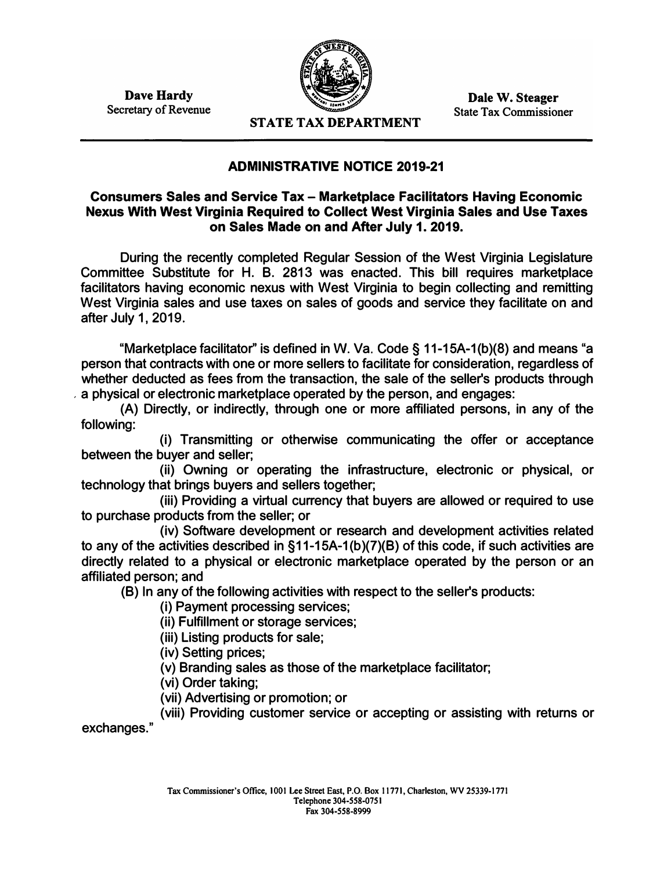**Dave Hardy Secretary of Revenue** 



**Dale W. Steager State Tax Commissioner** 

**STATE TAX DEPARTMENT** 

## **ADMINISTRATIVE NOTICE 2019-21**

**Consumers Sales and Service Tax - Marketplace Facilitators Having Economic Nexus With West Virginia Required to Collect West Virginia Sales and Use Taxes on Sales Made on and After July 1. 2019.** 

**During the recently completed Regular Session of the West Virginia Legislature Committee Substitute for H. B. 2813 was enacted. This bill requires marketplace facilitators having economic nexus with West Virginia to begin collecting and remitting West Virginia sales and use taxes on sales of goods and service they facilitate on and after July 1, 2019.** 

**"Marketplace facilitator'' is defined in W. Va. Code § 11-15A-1 (b )(8) and means "a person that contracts with one or more sellers to facilitate for consideration, regardless of whether deducted as fees from the transaction, the sale of the seller's products through , a physical or electronic marketplace operated by the person, and engages:** 

**(A) Directly, or indirectly, through one or more affiliated persons, in any of the following:** 

**(i) Transmitting or otherwise communicating the offer or acceptance between the buyer and seller;** 

**(ii) Owning or operating the infrastructure, electronic or physical, or technology that brings buyers and sellers together;** 

**(iii) Providing a virtual currency that buyers are allowed or required to use to purchase products from the seller; or** 

**(iv) Software development or research and development activities related to any of the activities described in § 11-15A-1 (b )(7)(8) of this code, if such activities are directly related to a physical or electronic marketplace operated by the person or an affiliated person; and** 

**(8) In any of the following activities with respect to the seller's products:**

**(i) Payment processing services;**

**(ii) Fulfillment or storage services;**

**(iii) Listing products for sale;**

**(iv) Setting prices;**

**(v) Branding sales as those of the marketplace facilitator;**

**(vi) Order taking;**

**(vii) Advertising or promotion; or**

**(viii) Providing customer service or accepting or assisting with returns or exchanges."**